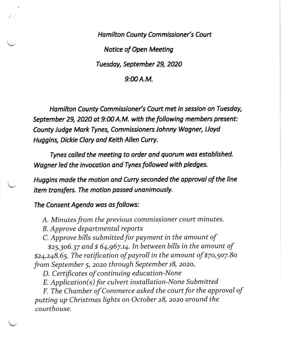Hamilton County Commissioner's Court Notice of Open Meeting Tuesdoy, September 29, 2020  $9:00A.M.$ 

Hamilton County Commissioner's Court met in session on Tuesday, September 29, 2020 ot 9:0O A.M. with the following members present: County Judge Mork Tynes, Commissioners Johnny Wogner, Lloyd Huggins, Dickie Clory ond Keith Allen Curry.

Tynes colled the meeting to order ond quorum wos estoblished. Wagner led the invocation and Tynes followed with pledges.

Huggins made the motion and Curry seconded the approval of the line item transfers. The motion passed unanimously.

The Consent Agendo wos as follows:

A. Minutes from the previous commissioner court minutes.

B. Approve departmental reports

C. Approve bills submitted for payment in the amount of

\$25,306.37 and \$ 64,967.14. In between bills in the amount of g24,248.65. The ratification of payroll in the amount of \$7o,5o7.8o from September 5, 2020 through September 18, 2020,

D. Certificates of continuing education-None

 $E.$  Application( $s$ ) for culvert installation-None Submitted

F. The Chamber of Commerce asked the court for the approval of putting up Christmas lights on October 28, zozo around the courthouse.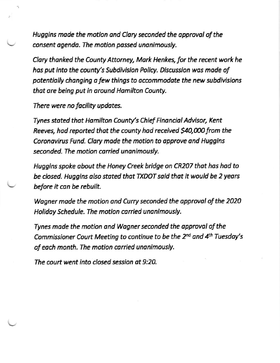Huggins made the motion and Clary seconded the approval of the consent agenda. The motion passed unanimously.

Clary thanked the County Attorney, Mark Henkes, for the recent work he has put into the county's Subdivision Policy. Discussion was made of potentiolly changing o few things to occommodote the new subdivisions that are being put in around Hamilton County.

There were no facility updates.

Tynes stated that Hamilton County's Chief Financial Advisor, Kent Reeves, had reported that the county had received \$40,000 from the Coronavirus Fund. Clary made the motion to approve and Huggins seconded. The motion carried unanimously.

Huggins spoke obout the Honey Creek hridge on CR207 thot hos hod to be closed. Huggins also stated that TXDOT said that it would be 2 years before it con be rebuik.

Wagner made the motion and Curry seconded the approval of the 2020 Holiday Schedule. The motion carried unanimously.

Tynes made the motion and Wagner seconded the approval of the Commissioner Court Meeting to continue to be the  $2^{nd}$  and  $4^{th}$  Tuesday's of each month. The motion carried unanimously.

The court went into closed session ot 9:20.